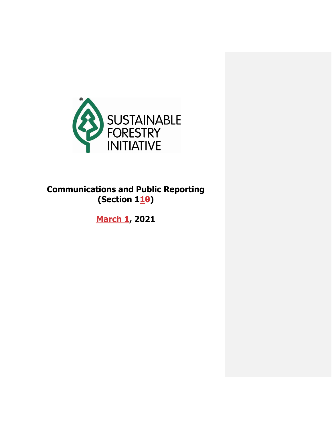

## **Communications and Public Reporting (Section 110)**

**March 1, 2021**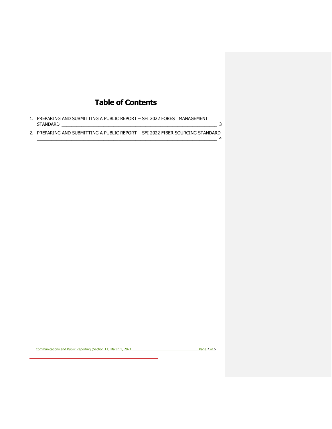## **Table of Contents**

1. [PREPARING AND SUBMITTING A PUBLIC REPORT –](#page-2-0) SFI 2022 FOREST MANAGEMENT STANDARD [\\_\\_\\_\\_\\_\\_\\_\\_\\_\\_\\_\\_\\_\\_\\_\\_\\_\\_\\_\\_\\_\\_\\_\\_\\_\\_\\_\\_\\_\\_\\_\\_\\_\\_\\_\\_\\_\\_\\_\\_\\_\\_\\_\\_\\_\\_\\_\\_\\_\\_\\_\\_\\_\\_\\_\\_\\_\\_\\_\\_\\_\\_\\_](#page-2-0) 3 2. [PREPARING AND SUBMITTING A PUBLIC REPORT –](#page-3-0) SFI 2022 FIBER SOURCING STANDARD

Communications and Public Reporting (Section 11) March 1, 2021 Page 2 of 6

 $\overline{\phantom{a}}$  4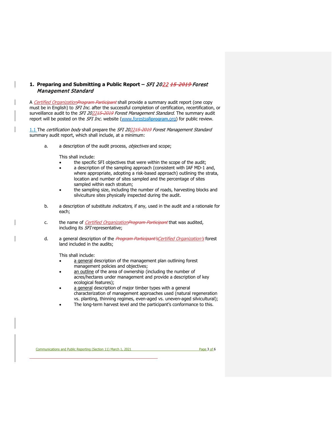## <span id="page-2-0"></span>**1. Preparing and Submitting a Public Report –** SFI 2022 15-2019 Forest Management Standard

A Certified OrganizationProgram Participant shall provide a summary audit report (one copy must be in English) to SFI Inc. after the successful completion of certification, recertification, or surveillance audit to the SFI 202215-2019 Forest Management Standard. The summary audit report will be posted on the *SFI Inc.* website [\(www.forestssfiprogram.org\)](http://www.forests.org/) for public review.

1.1 The certification body shall prepare the SFI 202245 2019 Forest Management Standard summary audit report, which shall include, at a minimum:

a. a description of the audit process, objectives and scope;

This shall include:

- the specific SFI objectives that were within the scope of the audit;
- a description of the sampling approach (consistent with IAF MD-1 and, where appropriate, adopting a risk-based approach) outlining the strata, location and number of sites sampled and the percentage of sites sampled within each stratum;
- the sampling size, including the number of roads, harvesting blocks and silviculture sites physically inspected during the audit.
- b. a description of substitute *indicators*, if any, used in the audit and a rationale for each;
- c. the name of *Certified OrganizationProgram Participant* that was audited, including its SFI representative;
- d. a general description of the *Program Participant's Certified Organization's* forest land included in the audits;

This shall include:

- a general description of the management plan outlining forest management policies and objectives;
- an outline of the area of ownership (including the number of acres/hectares under management and provide a description of key ecological features);
- a general description of major timber types with a general characterization of management approaches used (natural regeneration vs. planting, thinning regimes, even-aged vs. uneven-aged silvicultural);
- The long-term harvest level and the participant's conformance to this.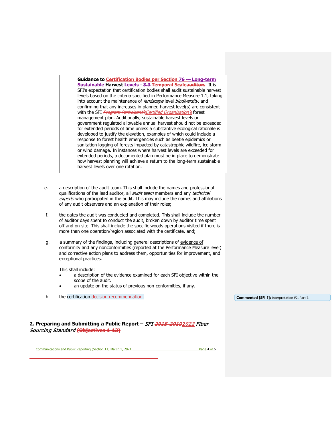**Guidance to Certification Bodies per Section 76 -– Long-term Sustainable Harvest Levels - 3.3 Temporal Scaleauditors**: It is SFI's expectation that certification bodies shall audit sustainable harvest levels based on the criteria specified in Performance Measure 1.1, taking into account the maintenance of landscape level biodiversity, and confirming that any increases in planned harvest level(s) are consistent with the SFI Program Participant's Certified Organization's forest management plan. Additionally, sustainable harvest levels or government regulated allowable annual harvest should not be exceeded for extended periods of time unless a substantive ecological rationale is developed to justify the elevation, examples of which could include a response to forest health emergencies such as beetle epidemics or sanitation logging of forests impacted by catastrophic wildfire, ice storm or wind damage. In instances where harvest levels are exceeded for extended periods, a documented plan must be in place to demonstrate how harvest planning will achieve a return to the long-term sustainable harvest levels over one rotation.

- e. a description of the audit team. This shall include the names and professional qualifications of the lead auditor, all *audit team* members and any *technical* experts who participated in the audit. This may include the names and affiliations of any audit observers and an explanation of their roles;
- f. the dates the audit was conducted and completed. This shall include the number of auditor days spent to conduct the audit, broken down by auditor time spent off and on-site. This shall include the specific woods operations visited if there is more than one operation/region associated with the certificate, and;
- g. a summary of the findings, including general descriptions of evidence of conformity and any nonconformities (reported at the Performance Measure level) and corrective action plans to address them, opportunities for improvement, and exceptional practices.

This shall include:

- a description of the evidence examined for each SFI objective within the scope of the audit.
- an update on the status of previous non-conformities, if any.
- h. the certification-decision recommendation.

**Commented [SFI 1]:** Interpretation #2, Part 7.

<span id="page-3-0"></span>**2. Preparing and Submitting a Public Report –** SFI 2015-20192022 Fiber Sourcing Standard **(Objectives 1-13)**

Communications and Public Reporting (Section 11) March 1, 2021 Page 4 of 6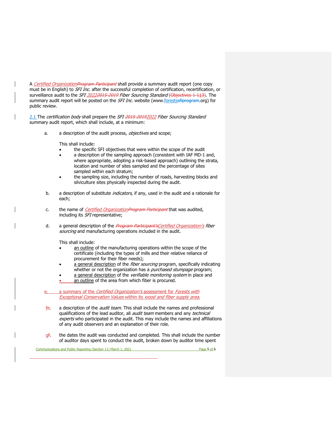A Certified Organization Program Participant shall provide a summary audit report (one copy must be in English) to SFI Inc. after the successful completion of certification, recertification, or surveillance audit to the SFI 20222015 2019 Fiber Sourcing Standard (Objectives 1-113). The summary audit report will be posted on the *SFI Inc.* website (www.forests sfiprogram.org) for public review.

2.1 The certification body shall prepare the SFI 2015-20192022 Fiber Sourcing Standard summary audit report, which shall include, at a minimum:

a. a description of the audit process, objectives and scope;

This shall include:

- the specific SFI objectives that were within the scope of the audit
- a description of the sampling approach (consistent with IAF MD-1 and, where appropriate, adopting a risk-based approach) outlining the strata, location and number of sites sampled and the percentage of sites sampled within each stratum;
- the sampling size, including the number of roads, harvesting blocks and silviculture sites physically inspected during the audit.
- b. a description of substitute *indicators*, if any, used in the audit and a rationale for each;
- c. the name of *Certified OrganizationProgram Participant* that was audited, including its SFI representative;
- d. a general description of the *Program Participant'sCertified Organization's fiber* sourcing and manufacturing operations included in the audit.

This shall include:

- an outline of the manufacturing operations within the scope of the certificate (including the types of mills and their relative reliance of procurement for their fiber needs);
- a general description of the *fiber sourcing* program, specifically indicating whether or not the organization has a *purchased stumpage* program;
- a general description of the verifiable monitoring system in place and
- an outline of the area from which fiber is procured.
- a summary of the Certified Organization's assessment for Forests with Exceptional Conservation Values within its wood and fiber supply area.
- fe. a description of the *audit team*. This shall include the names and professional qualifications of the lead auditor, all *audit team* members and any *technical* experts who participated in the audit. This may include the names and affiliations of any audit observers and an explanation of their role.
- $q_f$ . the dates the audit was conducted and completed. This shall include the number of auditor days spent to conduct the audit, broken down by auditor time spent

Communications and Public Reporting (Section 11) March 1, 2021 Page 5 of 6